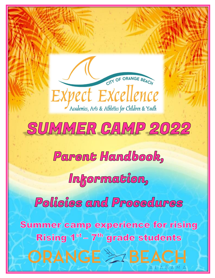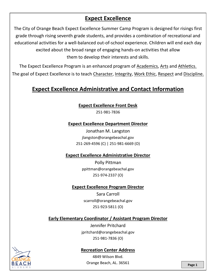# **Expect Excellence**

The City of Orange Beach Expect Excellence Summer Camp Program is designed for risings first grade through rising seventh grade students, and provides a combination of recreational and educational activities for a well-balanced out-of-school experience. Children will end each day excited about the broad range of engaging hands-on activities that allow them to develop their interests and skills.

The Expect Excellence Program is an enhanced program of Academics, Arts and Athletics. The goal of Expect Excellence is to teach Character, Integrity, Work Ethic, Respect and Discipline.

# **Expect Excellence Administrative and Contact Information**

**Expect Excellence Front Desk**

251-981-7836

### **Expect Excellence Department Director**

Jonathan M. Langston jlangston@orangebeachal.gov 251-269-4596 (C) | 251-981-6669 (O)

### **Expect Excellence Administrative Director**

Polly Pittman ppittman@orangebeachal.gov 251-974-2337 (O)

## **Expect Excellence Program Director**

Sara Carroll scarroll@orangebeachal.gov 251-923-5811 (O)

## **Early Elementary Coordinator / Assistant Program Director**

Jennifer Pritchard jpritchard@orangebeachal.gov 251-981-7836 (O)

### **Recreation Center Address**

4849 Wilson Blvd. Orange Beach, AL. 36561 **Page 1** 

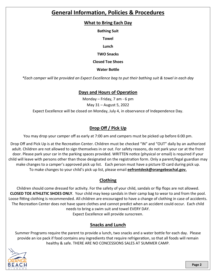# **General Information, Policies & Procedures**

### **What to Bring Each Day**

**Bathing Suit**

**Towel**

**Lunch**

**TWO Snacks**

**Closed Toe Shoes**

**Water Bottle**

*\*Each camper will be provided an Expect Excellence bag to put their bathing suit & towel in each day*

## **Days and Hours of Operation**

Monday – Friday, 7 am - 6 pm May 31 – August 5, 2022 Expect Excellence will be closed on Monday, July 4, in observance of Independence Day.

# **Drop Off / Pick Up**

You may drop your camper off as early at 7:00 am and campers must be picked up before 6:00 pm.

Drop Off and Pick Up is at the Recreation Center. Children must be checked "IN" and "OUT" daily by an authorized adult. Children are not allowed to sign themselves in or out. For safety reasons, do not park your car at the front door. Please park your car in the parking spaces provided. WRITTEN notice (physical or email) is required if your child will leave with persons other than those designated on the registration form. Only a parent/legal guardian may make changes to a camper's approved pick up list. Each person must have a picture ID card during pick up. To make changes to your child's pick up list, please email **eefrontdesk@orangebeachal.gov.**

# **Clothing**

Children should come dressed for activity. For the safety of your child, sandals or flip flops are not allowed. **CLOSED TOE ATHLETIC SHOES ONLY**. Your child may keep sandals in their camp bag to wear to and from the pool. Loose fitting clothing is recommended. All children are encouraged to have a change of clothing in case of accidents. The Recreation Center does not have spare clothes and cannot predict when an accident could occur. Each child needs to bring a swim suit and towel EVERY DAY.

Expect Excellence will provide sunscreen.

# **Snacks and Lunch**

Summer Programs require the parent to provide a lunch, two snacks and a water bottle for each day. Please provide an ice pack if food contains any ingredients that require refrigeration, so that all foods will remain healthy & safe. THERE ARE NO CONCESSIONS SALES AT SUMMER CAMP.

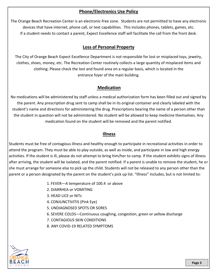# **Phone/Electronics Use Policy**

The Orange Beach Recreation Center is an electronic-free zone. Students are not permitted to have any electronic devices that have internet, phone call, or text capabilities. This includes phones, tablets, games, etc. If a student needs to contact a parent, Expect Excellence staff will facilitate the call from the front desk.

### **Loss of Personal Property**

The City of Orange Beach Expect Excellence Department is not responsible for lost or misplaced toys, jewelry, clothes, shoes, money, etc. The Recreation Center routinely collects a large quantity of misplaced items and clothing. Please check the lost and found area on a regular basis, which is located in the entrance foyer of the main building.

## **Medication**

No medications will be administered by staff unless a medical authorization form has been filled out and signed by the parent. Any prescription drug sent to camp shall be in its original container and clearly labeled with the student's name and directions for administering the drug. Prescriptions bearing the name of a person other than the student in question will not be administered. No student will be allowed to keep medicine themselves. Any medication found on the student will be removed and the parent notified.

#### **Illness**

Students must be free of contagious illness and healthy enough to participate in recreational activities in order to attend the program. They must be able to play outside, as well as inside, and participate in low and high energy activities. If the student is ill, please do not attempt to bring him/her to camp. If the student exhibits signs of illness after arriving, the student will be isolated, and the parent notified. If a parent is unable to remove the student, he or she must arrange for someone else to pick up the child. Students will not be released to any person other than the parent or a person designated by the parent on the student's pick up list. "Illness" includes, but is not limited to:

- 1. FEVER—A temperature of 100.4 or above
- 2. DIARRHEA or VOMITING
- 3. HEAD LICE or NITs
- 4. CONJUNCTIVITIS (Pink Eye)
- 5. UNDIAGNOSED SPOTS OR SORES
- 6. SEVERE COLDS—Continuous coughing, congestion, green or yellow discharge
- 7. CONTAGIOUS SKIN CONDITIONS
- 8. ANY COVID-19 RELATED SYMPTOMS